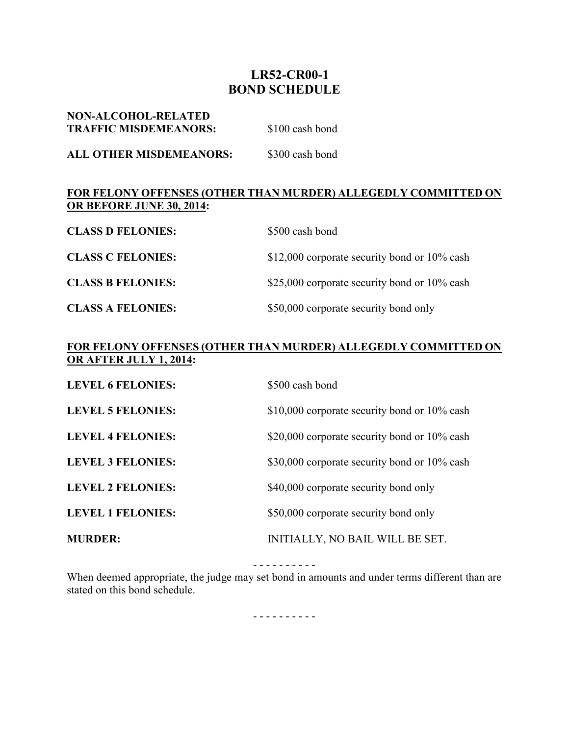## **LR52-CR00-1 BOND SCHEDULE**

| <b>NON-ALCOHOL-RELATED</b><br><b>TRAFFIC MISDEMEANORS:</b> | \$100 cash bond |
|------------------------------------------------------------|-----------------|
| ALL OTHER MISDEMEANORS:                                    | \$300 cash bond |

## **FOR FELONY OFFENSES (OTHER THAN MURDER) ALLEGEDLY COMMITTED ON OR BEFORE JUNE 30, 2014:**

| <b>CLASS D FELONIES:</b> | \$500 cash bond                              |
|--------------------------|----------------------------------------------|
| <b>CLASS C FELONIES:</b> | \$12,000 corporate security bond or 10% cash |
| <b>CLASS B FELONIES:</b> | \$25,000 corporate security bond or 10% cash |
| <b>CLASS A FELONIES:</b> | \$50,000 corporate security bond only        |

## **FOR FELONY OFFENSES (OTHER THAN MURDER) ALLEGEDLY COMMITTED ON OR AFTER JULY 1, 2014:**

| <b>LEVEL 6 FELONIES:</b> | \$500 cash bond                              |
|--------------------------|----------------------------------------------|
| <b>LEVEL 5 FELONIES:</b> | \$10,000 corporate security bond or 10% cash |
| <b>LEVEL 4 FELONIES:</b> | \$20,000 corporate security bond or 10% cash |
| <b>LEVEL 3 FELONIES:</b> | \$30,000 corporate security bond or 10% cash |
| <b>LEVEL 2 FELONIES:</b> | \$40,000 corporate security bond only        |
| <b>LEVEL 1 FELONIES:</b> | \$50,000 corporate security bond only        |
| <b>MURDER:</b>           | INITIALLY, NO BAIL WILL BE SET.              |

- - - - - - - - - -

When deemed appropriate, the judge may set bond in amounts and under terms different than are stated on this bond schedule.

- - - - - - - - - -